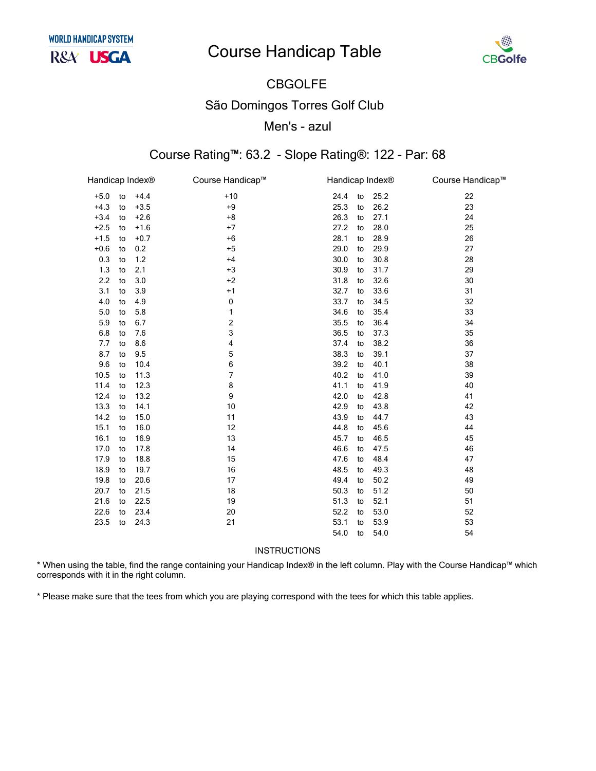## **Course Handicap Table**



## **CBGOLFE São Domingos Torres Golf Club** Men's - azul

#### Course Rating™: 63.2 - Slope Rating®: 122 - Par: 68

| Handicap Index® |    |        | Course Handicap™ | Handicap Index® |    |      | Course Handicap™ |
|-----------------|----|--------|------------------|-----------------|----|------|------------------|
| $+5.0$          | to | $+4.4$ | $+10$            | 24.4            | to | 25.2 | 22               |
| $+4.3$          | to | $+3.5$ | $+9$             | 25.3            | to | 26.2 | 23               |
| $+3.4$          | to | $+2.6$ | $+8$             | 26.3            | to | 27.1 | 24               |
| $+2.5$          | to | $+1.6$ | $+7$             | 27.2            | to | 28.0 | 25               |
| $+1.5$          | to | $+0.7$ | $+6$             | 28.1            | to | 28.9 | 26               |
| $+0.6$          | to | 0.2    | $+5$             | 29.0            | to | 29.9 | 27               |
| 0.3             | to | 1.2    | $+4$             | 30.0            | to | 30.8 | 28               |
| 1.3             | to | 2.1    | $+3$             | 30.9            | to | 31.7 | 29               |
| 2.2             | to | 3.0    | $+2$             | 31.8            | to | 32.6 | 30               |
| 3.1             | to | 3.9    | $+1$             | 32.7            | to | 33.6 | 31               |
| 4.0             | to | 4.9    | 0                | 33.7            | to | 34.5 | 32               |
| 5.0             | to | 5.8    | 1                | 34.6            | to | 35.4 | 33               |
| 5.9             | to | 6.7    | 2                | 35.5            | to | 36.4 | 34               |
| 6.8             | to | 7.6    | 3                | 36.5            | to | 37.3 | 35               |
| 7.7             | to | 8.6    | 4                | 37.4            | to | 38.2 | 36               |
| 8.7             | to | 9.5    | 5                | 38.3            | to | 39.1 | 37               |
| 9.6             | to | 10.4   | 6                | 39.2            | to | 40.1 | 38               |
| 10.5            | to | 11.3   | $\overline{7}$   | 40.2            | to | 41.0 | 39               |
| 11.4            | to | 12.3   | 8                | 41.1            | to | 41.9 | 40               |
| 12.4            | to | 13.2   | 9                | 42.0            | to | 42.8 | 41               |
| 13.3            | to | 14.1   | 10               | 42.9            | to | 43.8 | 42               |
| 14.2            | to | 15.0   | 11               | 43.9            | to | 44.7 | 43               |
| 15.1            | to | 16.0   | 12               | 44.8            | to | 45.6 | 44               |
| 16.1            | to | 16.9   | 13               | 45.7            | to | 46.5 | 45               |
| 17.0            | to | 17.8   | 14               | 46.6            | to | 47.5 | 46               |
| 17.9            | to | 18.8   | 15               | 47.6            | to | 48.4 | 47               |
| 18.9            | to | 19.7   | 16               | 48.5            | to | 49.3 | 48               |
| 19.8            | to | 20.6   | 17               | 49.4            | to | 50.2 | 49               |
| 20.7            | to | 21.5   | 18               | 50.3            | to | 51.2 | 50               |
| 21.6            | to | 22.5   | 19               | 51.3            | to | 52.1 | 51               |
| 22.6            | to | 23.4   | 20               | 52.2            | to | 53.0 | 52               |
| 23.5            | to | 24.3   | 21               | 53.1            | to | 53.9 | 53               |
|                 |    |        |                  | 54.0            | to | 54.0 | 54               |

INSTRUCTIONS

\* When using the table, find the range containing your Handicap Index® in the left column. Play with the Course Handicap™ which corresponds with it in the right column.

\* Please make sure that the tees from which you are playing correspond with the tees for which this table applies.